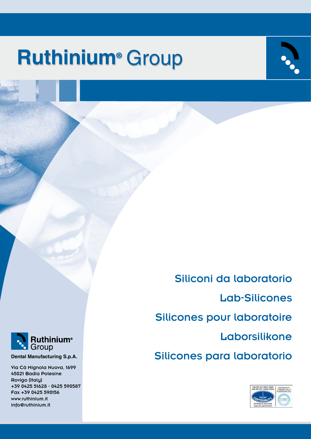# **Ruthinium<sup>®</sup> Group**

Siliconi da laboratorio Lab-Silicones Silicones pour laboratoire Laborsilikone **Dental Manufacturing S.p.A.**<br>
Dental Manufacturing S.p.A.<br> **Dental Manufacturing S.p.A.**<br>
Silicones para laboratorio





Via Cà Mignola Nuova, 1699 45021 Badia Polesine Rovigo (Italy) +39 0425 51628 - 0425 590587 Fax +39 0425 590156 www.ruthinium.it info@ruthinium.it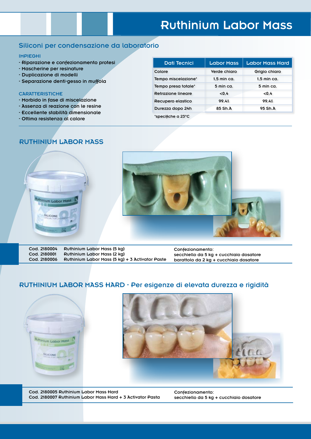### **Ruthinium Labor Mass**

#### Siliconi per condensazione da laboratorio

#### IMPIEGHI

- Riparazione e confezionamento protesi
- Mascherine per resinature
- Duplicazione di modelli
- Separazione denti-gesso in muffola

#### **CARATTERISTICHE**

- Morbido in fase di miscelazione
- Assenza di reazione con le resine
- Eccellente stabilità dimensionale
- Ottima resistenza al calore

| <b>Dati Tecnici</b> | <b>Labor Mass</b>     | <b>Labor Mass Hard</b> |
|---------------------|-----------------------|------------------------|
| Colore              | Verde chiaro          | Grigio chiaro          |
| Tempo miscelazione* | $1.5$ min ca.         | $1.5$ min ca.          |
| Tempo presa totale* | $5 \text{ min } ca$ . | $5 \text{ min } ca$ .  |
| Retrazione lineare  | < 0.4                 | < 0.4                  |
| Recupero elastico   | 99.4%                 | 99.4%                  |
| Durezza dopo 24h    | 85 Sh.A               | 95 Sh.A                |
| *specifiche a 23°C  |                       |                        |

#### RUTHINIUM LABOR MASS



Cod. 2180004 Ruthinium Labor Mass (5 kg) Cod. 2180001 Ruthinium Labor Mass (2 kg)<br>Cod. 2180006 Ruthinium Labor Mass (5 kg) Ruthinium Labor Mass  $(5 \text{ kg}) + 3$  Activator Paste

Confezionamento: secchiello da 5 kg + cucchiaio dosatore barattolo da 2 kg + cucchiaio dosatore

#### RUTHINIUM LABOR MASS HARD - Per esigenze di elevata durezza e rigidità





Cod. 2180005 Ruthinium Labor Mass Hard Cod. 2180007 Ruthinium Labor Mass Hard + 3 Activator Pasta Confezionamento: secchiello da 5 kg + cucchiaio dosatore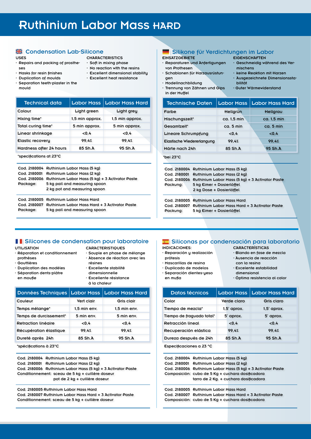#### USES

#### - Repairs and packing of prosthe-CHARACTERISTICS

- ses
- Masks for resin finishes
- Duplication of moulds
- Separation teeth-plaster in the mould
- Soft in mixing phase
- No reaction with the resins - Excellent dimensional stability
- Excellent heat resistance
- 

| <b>Technical data</b>   | <b>Labor Mass</b> | Labor Mass Hard |
|-------------------------|-------------------|-----------------|
| Colour                  | Light green       | Light grey      |
| Mixing time*            | 1,5 min approx.   | 1.5 min approx. |
| Total curing time*      | 5 min approx.     | 5 min approx.   |
| Linear shrinkage        | < 0.4             | <0.4            |
| <b>Elastic recovery</b> | 99.4%             | 99.4%           |
| Hardness after 24 hours | 85 Sh.A           | 95 Sh.A         |
| *specifications at 23°C |                   |                 |

|          | Cod. 2180004 Ruthinium Labor Mass (5 kg)                     |
|----------|--------------------------------------------------------------|
|          | Cod. 2180001 Ruthinium Labor Mass (2 kg)                     |
|          | Cod. 2180006 Ruthinium Labor Mass (5 kg) + 3 Activator Paste |
| Package: | 5 kg pail and measuring spoon                                |
|          | 2 kg pot and measuring spoon                                 |
|          | Cod. 2180005 Ruthinium Labor Mass Hard                       |
|          | Cod. 2180007 Ruthinium Labor Mass Hard + 3 Activator Paste   |

Package: 5 kg pail and measuring spoon

#### Silikone für Verdichtungen im Labor Silicone Silikone Silikone für Verdichtungen im Labor

#### EINSATZGEBIETE

gen

- Reparaturen und Anfertigungen von Prothesen - Schablonen für Harzausrüstun-
- **EIGENSCHAFTEN**
- Geschmeidig während des Vermischens
- keine Reaktion mit Harzen - Ausgezeichnete Dimensionssta-
- Modellnachbildung
- Trennung von Zä in der Muffel
- bilität ärmewiderstand

| innen und Oibs |  | י שטנפו אי |  |
|----------------|--|------------|--|
|                |  |            |  |

| <b>Technische Daten</b>    | <b>Labor Mass</b> | Labor Mass Hard |
|----------------------------|-------------------|-----------------|
| Farbe                      | Hellgrün          | Hellgrau        |
| Mischungszeit*             | ca. 1.5 min       | ca. 1.5 min     |
| Gesamtzeit*                | $ca.5$ min        | ca. 5 min       |
| <b>Lineare Schrumpfung</b> | < 0.4             | < 0.4           |
| Elastische Wiedererlangung | 99.4%             | 99.4%           |
| Härte nach 24h             | 85 Sh.A           | 95 Sh.A         |

#### \*bei 23°C

- Reparación y realización

- Mascarillas de resina - Duplicado de modelos - Separación dientes-yeso

prótesis

en mufla

| Packung: | Cod. 2180004 Ruthinium Labor Mass (5 kg)<br>Cod. 2180001 Ruthinium Labor Mass (2 kg)<br>Cod. 2180006 Ruthinium Labor Mass (5 kg) + 3 Activator Paste<br>5 kg Eimer + Dosierlöffel<br>2 kg Dose + Dosierlöffel |
|----------|---------------------------------------------------------------------------------------------------------------------------------------------------------------------------------------------------------------|
| Packung: | Cod. 2180005 Ruthinium Labor Mass Hard<br>Cod. 2180007 Ruthinium Labor Mass Hard + 3 Activator Paste<br>5 kg Eimer + Dosierlöffel                                                                             |

#### Silicones de condensation pour laboratoire  $\Box$  Siliconas por condensación para laboratorio

UTILISATION

**CARACTERISTIQUES** 

- Souple en phase de mélange

- Réparation et conditionnement prothèses
	- Absence de réaction avec les
- Gouttières - Duplication des modèles
- Séparation dents-plâtre
- en moufle
- résines
- Excellente stabilité
	- dimensionnelle
	- Excellente résistance à la chaleur

| Données Techniques   Labor Mass |                | Labor Mass Hard |
|---------------------------------|----------------|-----------------|
| Couleur                         | Vert clair     | Gris clair      |
| Temps mélange*                  | $1.5$ min env. | $1.5$ min env.  |
| Temps de durcissement*          | 5 min env.     | 5 min env.      |
| Retraction linéaire             | < 0.4          | < 0.4           |
| Récupération élastique          | 99.4%          | 99.4%           |
| Dureté après 24h                | 85 Sh.A        | 95 Sh.A         |
|                                 |                |                 |

\*spécifications à 23°C

Cod. 2180004 Ruthinium Labor Mass (5 kg) Cod. 2180001 Ruthinium Labor Mass (2 kg) Cod. 2180006 Ruthinium Labor Mass (5 kg) + 3 Activator Paste Conditionnement: sceau de 5 kg + cuillère doseur pot de 2 kg + cuillère doseur

Cod. 2180005 Ruthinium Labor Mass Hard Cod. 2180007 Ruthinium Labor Mass Hard + 3 Activator Paste Conditionnement: sceau de 5 kg + cuillère doseur

- INDICACIONES:
	- CARACTERÍSTICAS
		- Blando en fase de mezcla - Ausencia de reacción
		- con la resina - Excelente estabilidad
		- dimensional
		- Óptima resistencia al calor

| Datos técnicos            |             | Labor Mass   Labor Mass Hard |
|---------------------------|-------------|------------------------------|
| Color                     | Verde claro | Gris claro                   |
| Tiempo de mezcla*         | 1,5' aprox. | $1,5'$ aprox.                |
| Tiempo de fraguado total* | 5' aprox.   | 5' aprox.                    |
| Retracción lineal         | < 0.4       | < 0.4                        |
| Recuperación elástica     | 99.4%       | 99.4%                        |
| Dureza después de 24h     | 85 Sh.A     | 95 Sh.A                      |
| Especificaciones a 23 °C  |             |                              |

Cod. 2180004 Ruthinium Labor Mass (5 kg) Cod. 2180001 Ruthinium Labor Mass (2 kg) Cod. 2180006 Ruthinium Labor Mass (5 kg) + 3 Activator Paste Composición: cubo de 5 Kg + cuchara dosificadora tarro de 2 Kg. + cuchara dosificadora

Cod. 2180005 Ruthinium Labor Mass Hard Cod. 2180007 Ruthinium Labor Mass Hard + 3 Activator Paste Composición: cubo de 5 Kg + cuchara dosificadora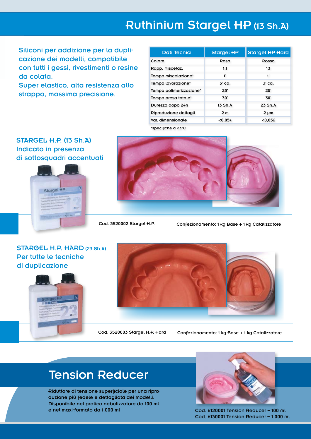### Ruthinium Stargel HP (13 Sh.A)

Siliconi per addizione per la duplicazione dei modelli, compatibile con tutti i gessi, rivestimenti o resine da colata.

Super elastico, alta resistenza allo strappo, massima precisione.

| <b>Dati Tecnici</b>     | <b>Stargel HP</b> | <b>Stargel HP Hard</b> |
|-------------------------|-------------------|------------------------|
| Colore                  | Rosa              | Rosso                  |
| Rapp. Miscelaz.         | 1:1               | 1:1                    |
| Tempo miscelazione*     | 1'                | ť                      |
| Tempo lavorazione*      | 5' ca.            | 3' ca.                 |
| Tempo polimerizzazione* | 25'               | 25'                    |
| Tempo presa totale*     | 30'               | 30'                    |
| Durezza dopo 24h        | 13 Sh.A           | 23 ShA                 |
| Riproduzione dettagli   | 2 <sub>m</sub>    | $2 \mu m$              |
| Var. dimensionale       | < 0.05%           | < 0.05%                |

\*specifiche a 23°C

### STARGEL H.P. (13 Sh.A) Indicato in presenza di sottosquadri accentuati





Cod. 3520002 Stargel H.P. Confezionamento: 1 kg Base + 1 kg Catalizzatore

### STARGEL H.P. HARD (23 Sh.A) Per tutte le tecniche di duplicazione





Cod. 3520003 Stargel H.P. Hard Confezionamento: 1 kg Base + 1 kg Catalizzatore

### Tension Reducer

Riduttore di tensione superficiale per una riproduzione più fedele e dettagliata dei modelli. Disponibile nel pratico nebulizzatore da 100 ml e nel maxi-formato da 1.000 ml



Cod. 6120001 Tension Reducer – 100 ml Cod. 6130001 Tension Reducer – 1.000 ml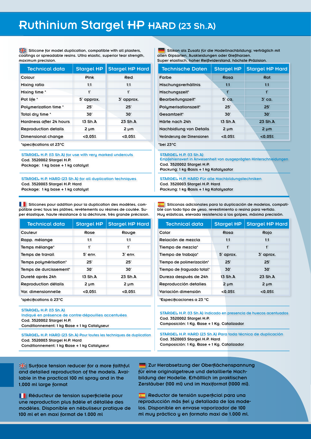### Ruthinium Stargel HP HARD (23 Sh.A)

Silicone for model duplication, compatible with all plasters, coatings or spreadable resins. Ultra elastic, superior tear strength, maximum precision.

| <b>Technical data</b>       | <b>Stargel HP</b> | <b>Stargel HP Hard</b> |
|-----------------------------|-------------------|------------------------|
| Colour                      | Pink              | Red                    |
| Mixing ratio                | 1:1               | 1:1                    |
| Mixing time *               | 1'                | 1'                     |
| Pot life *                  | 5' approx.        | 3' approx.             |
| Polymerization time *       | 25'               | 25'                    |
| Total dry time *            | 30'               | 30'                    |
| Hardness after 24 hours     | 13 Sh.A           | 23 ShA                 |
| <b>Reproduction details</b> | 2 pm              | $2 \mu m$              |
| Dimensional change          | < 0.05%           | < 0.05%                |
| *specifications at 23°C     |                   |                        |

STARGEL H.P. (13 Sh.A) for use with very marked undercuts Cod. 3520002 Stargel H.P. Package: 1 kg base + 1 kg catalyst

STARGEL H.P. HARD (23 Sh.A) for all duplication techniques Cod. 3520003 Stargel H.P. Hard Package: 1 kg base + 1 kg catalyst

Silicones pour addition pour la duplication des modèles, compatible avec tous les plâtres, revêtements ou résines de coulée. Super élastique, haute résistance à la déchirure, très grande précision.

| <b>Technical data</b>   | <b>Stargel HP</b> | <b>Stargel HP Hard</b> |
|-------------------------|-------------------|------------------------|
| Couleur                 | Rose              | Rouge                  |
| Rapp. mélange           | 1:1               | 1:1                    |
| Temps mélange*          | 1'                | ť                      |
| <b>Temps de travail</b> | 5' env.           | $3'$ env.              |
| Temps polymérisation*   | 25'               | 25'                    |
| Temps de durcissement*  | 30'               | 30'                    |
| Dureté après 24h        | 13 Sh.A           | 23 Sh.A                |
| Reproduction détails    | 2 pm              | 2 pm                   |
| Var. dimensionnelle     | < 0.05%           | < 0.05%                |
|                         |                   |                        |

\*spécifications à 23°C

#### STARGEL H.P. (13 Sh.A)

Indiqué en présence de contre-dépouilles accentuées Cod. 3520002 Stargel H.P. Conditionnement: 1 kg Base + 1 kg Catalyseur

STARGEL H.P. HARD (23 Sh.A) Pour toutes les techniques de duplication Cod. 3520003 Stargel H.P. Hard Conditionnement: 1 kg Base + 1 kg Catalyseur

Silikon als Zusatz für die Modellnachbildung; verträglich mit allen Gipsarten, Auskleidungen oder Gießharzen.

Super elastisch, hoher Reißwiderstand, höchste Präzision.

| <b>Technische Daten</b>     | <b>Stargel HP</b> | <b>Stargel HP Hard</b> |
|-----------------------------|-------------------|------------------------|
| Farbe                       | Rosa              | Rot                    |
| Mischungsverhältnis         | 1:1               | 1:1                    |
| Mischungszeit*              | $\mathbf{f}'$     | $\mathbf{1}^{\prime}$  |
| Bearbeitungszeit*           | 5' ca.            | $3'$ ca.               |
| Polymerisationszeit*        | 25'               | 25'                    |
| Gesamtzeit*                 | 30'               | 30'                    |
| Härte nach 24h              | 13 Sh.A           | 23 Sh.A                |
| Nachbidlung von Details     | $2 \mu m$         | $2 \mu m$              |
| Veränderung der Dimensionen | < 0.05%           | < 0.05%                |
| *bei 23°C                   |                   |                        |

#### STARGEL H.P. (13 Sh.A)

Empfehlenswert in Anwesenheit von ausgeprägten Hinterschneidungen Cod. 3520002 Stargel H.P.

Packung: 1 kg Basis + 1 kg Katalysator

STARGEL H.P. HARD Für alle Nachbildungstechniken Cod. 3520003 Stargel H.P. Hard Packung: 1 kg Basis + 1 kg Katalysator

 Siliconas adicionales para la duplicación de modelos, compatible con todo tipo de yeso, revestimiento o resina para vertido. Muy elásticas, elevada resistencia a los golpes, máxima precisión.

| <b>Technical data</b>     | <b>Stargel HP</b> | <b>Stargel HP Hard</b> |
|---------------------------|-------------------|------------------------|
| Color                     | Rosa              | Rojo                   |
| Relación de mezcla        | 1:1               | 1:1                    |
| Tiempo de mezcla*         | 1'                | 1'                     |
| Tiempo de trabajo*        | 5' aprox.         | 3' aprox.              |
| Tiempo de polimerización* | 25'               | 25'                    |
| Tiempo de fraguado total* | 30'               | 30'                    |
| Dureza después de 24h     | 13 Sh.A           | 23 Sh.A                |
| Reproducción detalles     | 2 µm              | $2 \mu m$              |
| Variación dimensión       | < 0.05%           | < 0.05%                |
| *Especificaciones a 23 °C |                   |                        |

STARGEL H.P. (13 Sh.A) Indicado en presencia de huecos acentuados Cod. 3520002 Stargel H.P. Composición: 1 Kg. Base + 1 Kg. Catalizador

STARGEL H.P. HARD (23 Sh.A) Para toda técnica de duplicación Cod. 3520003 Stargel H.P. Hard Composición: 1 Kg. Base + 1 Kg. Catalizador

Surface tension reducer for a more faithful and detailed reproduction of the models. Available in the practical 100 ml spray and in the 1,000 ml large format

**Réducteur de tension superficielle pour** une reproduction plus fidèle et détallée des modèles. Disponible en nébuliseur pratique de 100 ml et en maxi format de 1.000 ml

**Zur Herabsetzung der Oberflächenspannung** für eine originalgetreue und detaillierte Nachbildung der Modelle. Erhältlich im praktischen Zerstäuber (100 ml) und im Maxiformat (1000 ml).

**Reductor de tensión superficial para una** reproducción más fiel y detallada de los modelos. Disponible en envase vaporizador de 100 ml muy práctico y en formato maxi de 1.000 ml.